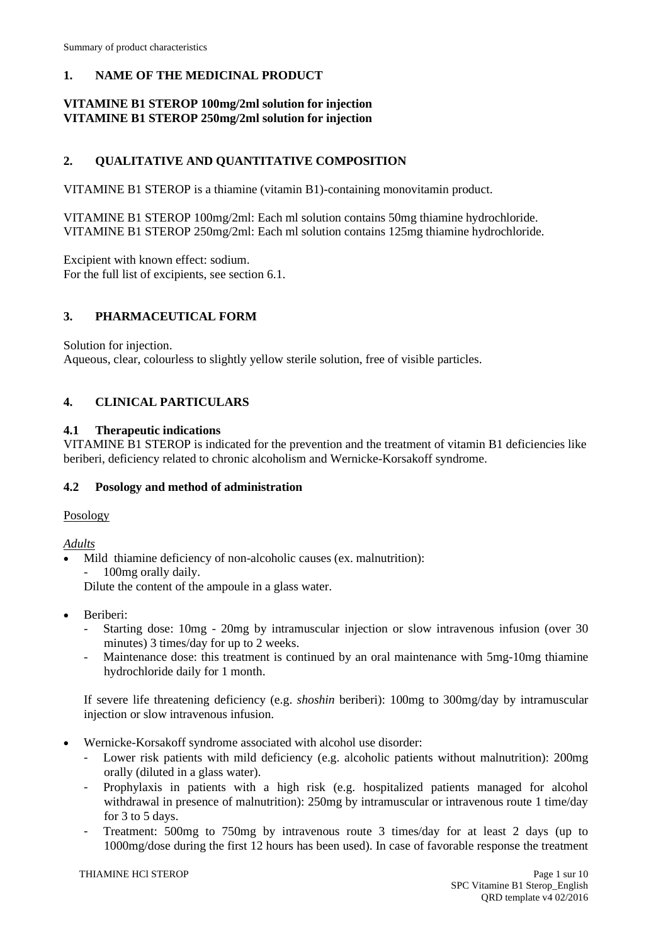# **1. NAME OF THE MEDICINAL PRODUCT**

# **VITAMINE B1 STEROP 100mg/2ml solution for injection VITAMINE B1 STEROP 250mg/2ml solution for injection**

# **2. QUALITATIVE AND QUANTITATIVE COMPOSITION**

VITAMINE B1 STEROP is a thiamine (vitamin B1)-containing monovitamin product.

VITAMINE B1 STEROP 100mg/2ml: Each ml solution contains 50mg thiamine hydrochloride. VITAMINE B1 STEROP 250mg/2ml: Each ml solution contains 125mg thiamine hydrochloride.

Excipient with known effect: sodium. For the full list of excipients, see section 6.1.

# **3. PHARMACEUTICAL FORM**

Solution for injection.

Aqueous, clear, colourless to slightly yellow sterile solution, free of visible particles.

# **4. CLINICAL PARTICULARS**

## **4.1 Therapeutic indications**

VITAMINE B1 STEROP is indicated for the prevention and the treatment of vitamin B1 deficiencies like beriberi, deficiency related to chronic alcoholism and Wernicke-Korsakoff syndrome.

## **4.2 Posology and method of administration**

Posology

*Adults*

- Mild thiamine deficiency of non-alcoholic causes (ex. malnutrition): 100<sub>mg</sub> orally daily.
	- Dilute the content of the ampoule in a glass water.
- Beriberi:
	- Starting dose: 10mg 20mg by intramuscular injection or slow intravenous infusion (over 30 minutes) 3 times/day for up to 2 weeks.
	- Maintenance dose: this treatment is continued by an oral maintenance with 5mg-10mg thiamine hydrochloride daily for 1 month.

If severe life threatening deficiency (e.g. *shoshin* beriberi): 100mg to 300mg/day by intramuscular injection or slow intravenous infusion.

- Wernicke-Korsakoff syndrome associated with alcohol use disorder:
	- Lower risk patients with mild deficiency (e.g. alcoholic patients without malnutrition): 200mg orally (diluted in a glass water).
	- Prophylaxis in patients with a high risk (e.g. hospitalized patients managed for alcohol withdrawal in presence of malnutrition): 250mg by intramuscular or intravenous route 1 time/day for 3 to 5 days.
	- Treatment: 500mg to 750mg by intravenous route 3 times/day for at least 2 days (up to 1000mg/dose during the first 12 hours has been used). In case of favorable response the treatment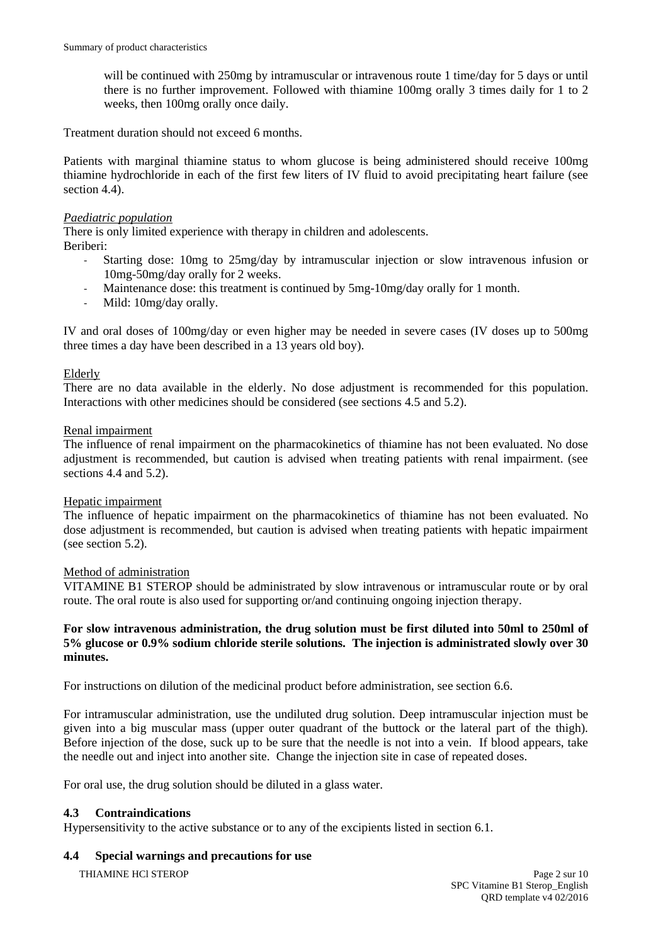will be continued with 250mg by intramuscular or intravenous route 1 time/day for 5 days or until there is no further improvement. Followed with thiamine 100mg orally 3 times daily for 1 to 2 weeks, then 100mg orally once daily.

Treatment duration should not exceed 6 months.

Patients with marginal thiamine status to whom glucose is being administered should receive 100mg thiamine hydrochloride in each of the first few liters of IV fluid to avoid precipitating heart failure (see section 4.4).

## *Paediatric population*

There is only limited experience with therapy in children and adolescents.

Beriberi:

- Starting dose: 10mg to 25mg/day by intramuscular injection or slow intravenous infusion or 10mg-50mg/day orally for 2 weeks.
- Maintenance dose: this treatment is continued by 5mg-10mg/day orally for 1 month.
- Mild: 10mg/day orally.

IV and oral doses of 100mg/day or even higher may be needed in severe cases (IV doses up to 500mg three times a day have been described in a 13 years old boy).

## Elderly

There are no data available in the elderly. No dose adjustment is recommended for this population. Interactions with other medicines should be considered (see sections 4.5 and 5.2).

## Renal impairment

The influence of renal impairment on the pharmacokinetics of thiamine has not been evaluated. No dose adjustment is recommended, but caution is advised when treating patients with renal impairment. (see sections 4.4 and 5.2).

## Hepatic impairment

The influence of hepatic impairment on the pharmacokinetics of thiamine has not been evaluated. No dose adjustment is recommended, but caution is advised when treating patients with hepatic impairment (see section 5.2).

## Method of administration

VITAMINE B1 STEROP should be administrated by slow intravenous or intramuscular route or by oral route. The oral route is also used for supporting or/and continuing ongoing injection therapy.

## **For slow intravenous administration, the drug solution must be first diluted into 50ml to 250ml of 5% glucose or 0.9% sodium chloride sterile solutions. The injection is administrated slowly over 30 minutes.**

For instructions on dilution of the medicinal product before administration, see section 6.6.

For intramuscular administration, use the undiluted drug solution. Deep intramuscular injection must be given into a big muscular mass (upper outer quadrant of the buttock or the lateral part of the thigh). Before injection of the dose, suck up to be sure that the needle is not into a vein. If blood appears, take the needle out and inject into another site. Change the injection site in case of repeated doses.

For oral use, the drug solution should be diluted in a glass water.

## **4.3 Contraindications**

Hypersensitivity to the active substance or to any of the excipients listed in section 6.1.

## **4.4 Special warnings and precautions for use**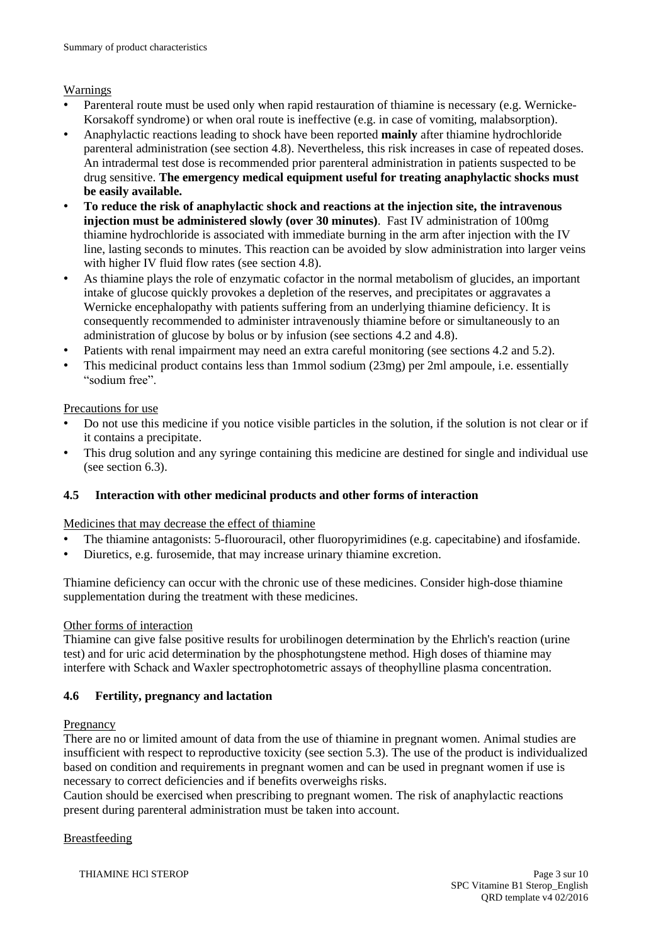## Warnings

- Parenteral route must be used only when rapid restauration of thiamine is necessary (e.g. Wernicke-Korsakoff syndrome) or when oral route is ineffective (e.g. in case of vomiting, malabsorption).
- Anaphylactic reactions leading to shock have been reported **mainly** after thiamine hydrochloride parenteral administration (see section 4.8). Nevertheless, this risk increases in case of repeated doses. An intradermal test dose is recommended prior parenteral administration in patients suspected to be drug sensitive. **The emergency medical equipment useful for treating anaphylactic shocks must be easily available.**
- **To reduce the risk of anaphylactic shock and reactions at the injection site, the intravenous injection must be administered slowly (over 30 minutes)**. Fast IV administration of 100mg thiamine hydrochloride is associated with immediate burning in the arm after injection with the IV line, lasting seconds to minutes. This reaction can be avoided by slow administration into larger veins with higher IV fluid flow rates (see section 4.8).
- As thiamine plays the role of enzymatic cofactor in the normal metabolism of glucides, an important intake of glucose quickly provokes a depletion of the reserves, and precipitates or aggravates a Wernicke encephalopathy with patients suffering from an underlying thiamine deficiency. It is consequently recommended to administer intravenously thiamine before or simultaneously to an administration of glucose by bolus or by infusion (see sections 4.2 and 4.8).
- Patients with renal impairment may need an extra careful monitoring (see sections 4.2 and 5.2).
- This medicinal product contains less than 1mmol sodium (23mg) per 2ml ampoule, i.e. essentially "sodium free".

## Precautions for use

- Do not use this medicine if you notice visible particles in the solution, if the solution is not clear or if it contains a precipitate.
- This drug solution and any syringe containing this medicine are destined for single and individual use (see section 6.3).

# **4.5 Interaction with other medicinal products and other forms of interaction**

## Medicines that may decrease the effect of thiamine

- The thiamine antagonists: 5-fluorouracil, other fluoropyrimidines (e.g. capecitabine) and ifosfamide.
- Diuretics, e.g. furosemide, that may increase urinary thiamine excretion.

Thiamine deficiency can occur with the chronic use of these medicines. Consider high-dose thiamine supplementation during the treatment with these medicines.

## Other forms of interaction

Thiamine can give false positive results for urobilinogen determination by the Ehrlich's reaction (urine test) and for uric acid determination by the phosphotungstene method. High doses of thiamine may interfere with Schack and Waxler spectrophotometric assays of theophylline plasma concentration.

# **4.6 Fertility, pregnancy and lactation**

## Pregnancy

There are no or limited amount of data from the use of thiamine in pregnant women. Animal studies are insufficient with respect to reproductive toxicity (see section 5.3). The use of the product is individualized based on condition and requirements in pregnant women and can be used in pregnant women if use is necessary to correct deficiencies and if benefits overweighs risks.

Caution should be exercised when prescribing to pregnant women. The risk of anaphylactic reactions present during parenteral administration must be taken into account.

# Breastfeeding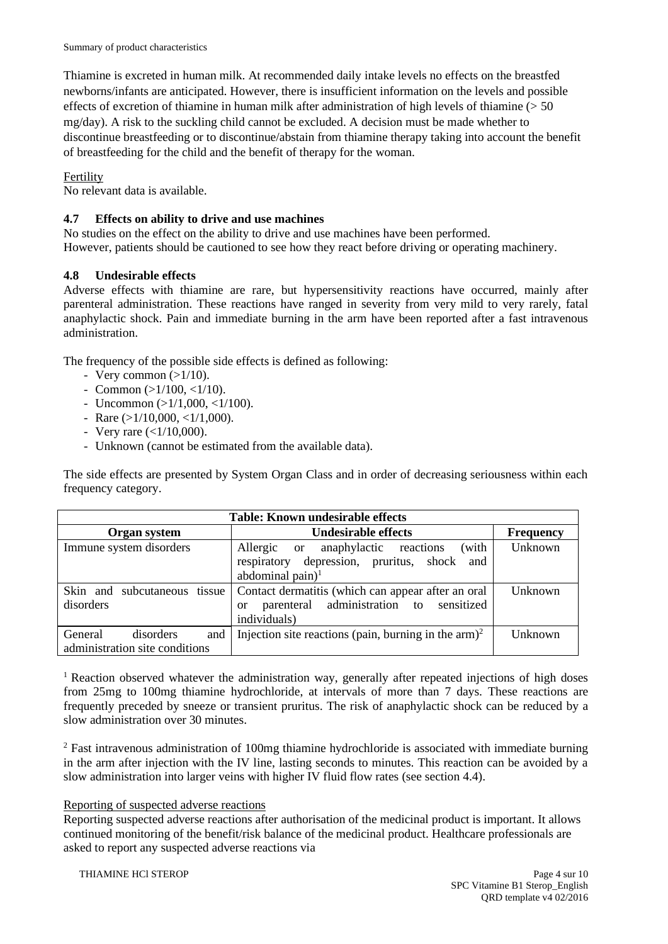Thiamine is excreted in human milk. At recommended daily intake levels no effects on the breastfed newborns/infants are anticipated. However, there is insufficient information on the levels and possible effects of excretion of thiamine in human milk after administration of high levels of thiamine (> 50 mg/day). A risk to the suckling child cannot be excluded. A decision must be made whether to discontinue breastfeeding or to discontinue/abstain from thiamine therapy taking into account the benefit of breastfeeding for the child and the benefit of therapy for the woman.

# Fertility

No relevant data is available.

# **4.7 Effects on ability to drive and use machines**

No studies on the effect on the ability to drive and use machines have been performed. However, patients should be cautioned to see how they react before driving or operating machinery.

# **4.8 Undesirable effects**

Adverse effects with thiamine are rare, but hypersensitivity reactions have occurred, mainly after parenteral administration. These reactions have ranged in severity from very mild to very rarely, fatal anaphylactic shock. Pain and immediate burning in the arm have been reported after a fast intravenous administration.

The frequency of the possible side effects is defined as following:

- Very common  $(>1/10)$ .
- Common  $(>1/100, <1/10)$ .
- Uncommon  $(>1/1,000,<1/100)$ .
- Rare  $(>1/10,000, <1/1,000)$ .
- Very rare  $(<1/10,000)$ .
- Unknown (cannot be estimated from the available data).

The side effects are presented by System Organ Class and in order of decreasing seriousness within each frequency category.

| <b>Table: Known undesirable effects</b> |                                                                  |                  |
|-----------------------------------------|------------------------------------------------------------------|------------------|
| Organ system                            | <b>Undesirable effects</b>                                       | <b>Frequency</b> |
| Immune system disorders                 | (with<br>Allergic<br>or anaphylactic reactions                   | Unknown          |
|                                         | respiratory depression, pruritus, shock and                      |                  |
|                                         | abdominal pain $)^1$                                             |                  |
| Skin and subcutaneous tissue            | Contact dermatitis (which can appear after an oral               | Unknown          |
| disorders                               | parenteral administration to sensitized<br><b>or</b>             |                  |
|                                         | individuals)                                                     |                  |
| disorders<br>General<br>and             | Injection site reactions (pain, burning in the arm) <sup>2</sup> | Unknown          |
| administration site conditions          |                                                                  |                  |

<sup>1</sup> Reaction observed whatever the administration way, generally after repeated injections of high doses from 25mg to 100mg thiamine hydrochloride, at intervals of more than 7 days. These reactions are frequently preceded by sneeze or transient pruritus. The risk of anaphylactic shock can be reduced by a slow administration over 30 minutes.

<sup>2</sup> Fast intravenous administration of 100mg thiamine hydrochloride is associated with immediate burning in the arm after injection with the IV line, lasting seconds to minutes. This reaction can be avoided by a slow administration into larger veins with higher IV fluid flow rates (see section 4.4).

# Reporting of suspected adverse reactions

Reporting suspected adverse reactions after authorisation of the medicinal product is important. It allows continued monitoring of the benefit/risk balance of the medicinal product. Healthcare professionals are asked to report any suspected adverse reactions via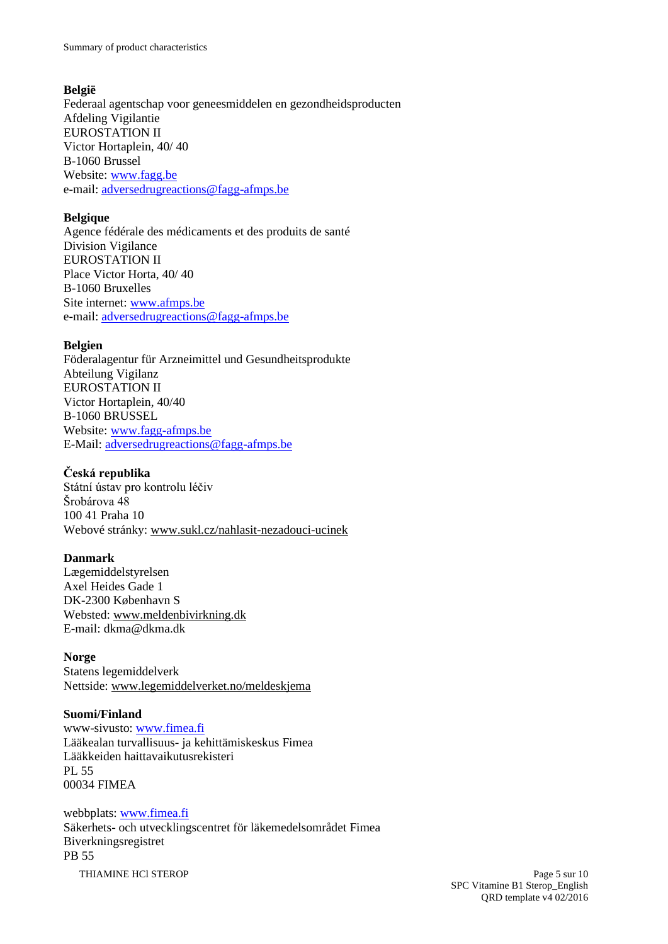Summary of product characteristics

# **België**

Federaal agentschap voor geneesmiddelen en gezondheidsproducten Afdeling Vigilantie EUROSTATION II Victor Hortaplein, 40/ 40 B-1060 Brussel Website: [www.fagg.be](http://www.fagg.be/) e-mail: [adversedrugreactions@fagg-afmps.be](mailto:adversedrugreactions@fagg-afmps.be)

## **Belgique**

Agence fédérale des médicaments et des produits de santé Division Vigilance EUROSTATION II Place Victor Horta, 40/ 40 B-1060 Bruxelles Site internet: [www.afmps.be](http://www.afmps.be/) e-mail: [adversedrugreactions@fagg-afmps.be](mailto:adversedrugreactions@fagg-afmps.be)

# **Belgien**

Föderalagentur für Arzneimittel und Gesundheitsprodukte Abteilung Vigilanz EUROSTATION II Victor Hortaplein, 40/40 B-1060 BRUSSEL Website: [www.fagg-afmps.be](http://www.fagg-afmps.be/) E-Mail: [adversedrugreactions@fagg-afmps.be](mailto:adversedrugreactions@fagg-afmps.be)

## **Česká republika**

Státní ústav pro kontrolu léčiv Šrobárova 48 100 41 Praha 10 Webové stránky: [www.sukl.cz/nahlasit-nezadouci-ucinek](http://www.sukl.cz/nahlasit-nezadouci-ucinek)

# **Danmark**

Lægemiddelstyrelsen Axel Heides Gade 1 DK-2300 København S Websted: [www.meldenbivirkning.dk](http://www.meldenbivirkning.dk/) E-mail: dkma@dkma.dk

## **Norge**

Statens legemiddelverk Nettside: [www.legemiddelverket.no/meldeskjema](http://www.legemiddelverket.no/meldeskjema)

## **Suomi/Finland**

www-sivusto: [www.fimea.fi](http://www.fimea.fi/) Lääkealan turvallisuus- ja kehittämiskeskus Fimea Lääkkeiden haittavaikutusrekisteri PL 55 00034 FIMEA

# THIAMINE HCl STEROP Page 5 sur 10 webbplats: [www.fimea.fi](http://www.fimea.fi/) Säkerhets- och utvecklingscentret för läkemedelsområdet Fimea Biverkningsregistret PB 55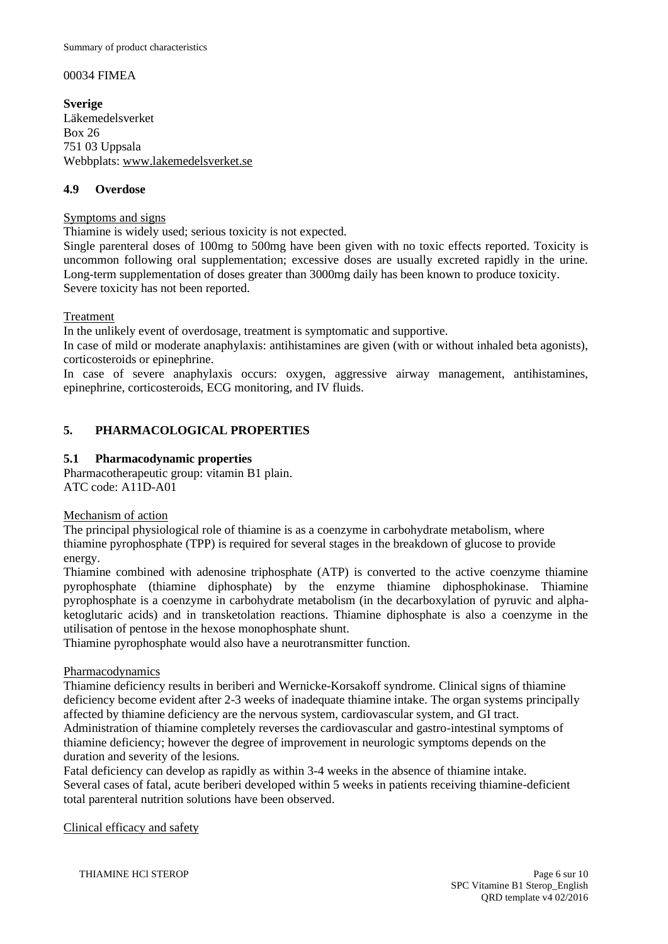## 00034 FIMEA

**Sverige** Läkemedelsverket Box 26 751 03 Uppsala Webbplats: [www.lakemedelsverket.se](http://www.lakemedelsverket.se/)

## **4.9 Overdose**

## Symptoms and signs

Thiamine is widely used; serious toxicity is not expected.

Single parenteral doses of 100mg to 500mg have been given with no toxic effects reported. Toxicity is uncommon following oral supplementation; excessive doses are usually excreted rapidly in the urine. Long-term supplementation of doses greater than 3000mg daily has been known to produce toxicity. Severe toxicity has not been reported.

## Treatment

In the unlikely event of overdosage, treatment is symptomatic and supportive.

In case of mild or moderate anaphylaxis: antihistamines are given (with or without inhaled beta agonists), corticosteroids or epinephrine.

In case of severe anaphylaxis occurs: oxygen, aggressive airway management, antihistamines, epinephrine, corticosteroids, ECG monitoring, and IV fluids.

## **5. PHARMACOLOGICAL PROPERTIES**

## **5.1 Pharmacodynamic properties**

Pharmacotherapeutic group: vitamin B1 plain. ATC code: A11D-A01

Mechanism of action

The principal physiological role of thiamine is as a coenzyme in carbohydrate metabolism, where thiamine pyrophosphate (TPP) is required for several stages in the breakdown of glucose to provide energy.

Thiamine combined with adenosine triphosphate (ATP) is converted to the active coenzyme thiamine pyrophosphate (thiamine diphosphate) by the enzyme thiamine diphosphokinase. Thiamine pyrophosphate is a coenzyme in carbohydrate metabolism (in the decarboxylation of pyruvic and alphaketoglutaric acids) and in transketolation reactions. Thiamine diphosphate is also a coenzyme in the utilisation of pentose in the hexose monophosphate shunt.

Thiamine pyrophosphate would also have a neurotransmitter function.

## Pharmacodynamics

Thiamine deficiency results in beriberi and Wernicke-Korsakoff syndrome. Clinical signs of thiamine deficiency become evident after 2-3 weeks of inadequate thiamine intake. The organ systems principally affected by thiamine deficiency are the nervous system, cardiovascular system, and GI tract. Administration of thiamine completely reverses the cardiovascular and gastro-intestinal symptoms of thiamine deficiency; however the degree of improvement in neurologic symptoms depends on the duration and severity of the lesions.

Fatal deficiency can develop as rapidly as within 3-4 weeks in the absence of thiamine intake. Several cases of fatal, acute beriberi developed within 5 weeks in patients receiving thiamine-deficient total parenteral nutrition solutions have been observed.

Clinical efficacy and safety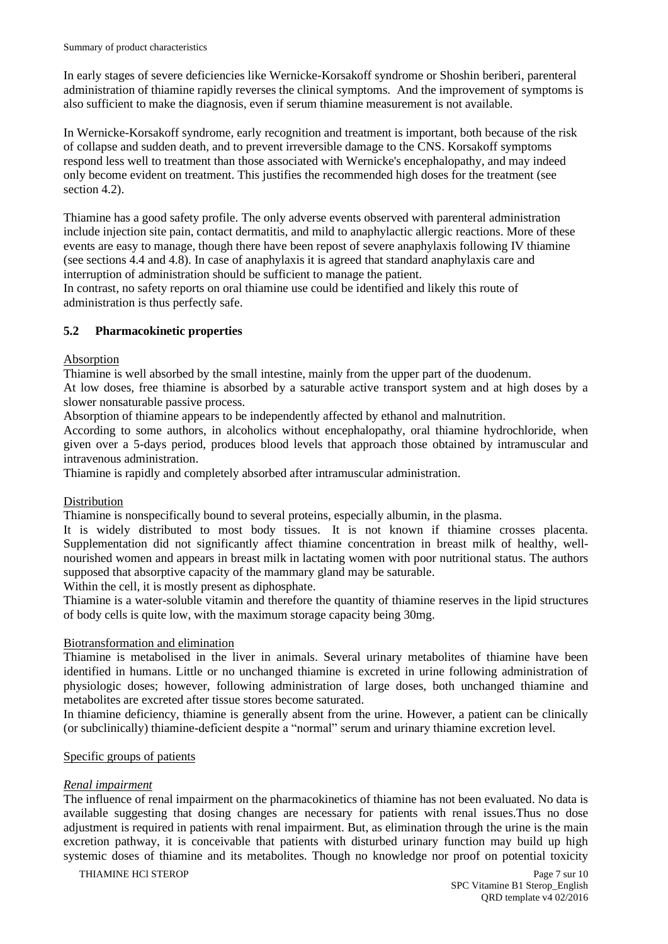In early stages of severe deficiencies like Wernicke-Korsakoff syndrome or Shoshin beriberi, parenteral administration of thiamine rapidly reverses the clinical symptoms. And the improvement of symptoms is also sufficient to make the diagnosis, even if serum thiamine measurement is not available.

In Wernicke-Korsakoff syndrome, early recognition and treatment is important, both because of the risk of collapse and sudden death, and to prevent irreversible damage to the CNS. Korsakoff symptoms respond less well to treatment than those associated with Wernicke's encephalopathy, and may indeed only become evident on treatment. This justifies the recommended high doses for the treatment (see section 4.2).

Thiamine has a good safety profile. The only adverse events observed with parenteral administration include injection site pain, contact dermatitis, and mild to anaphylactic allergic reactions. More of these events are easy to manage, though there have been repost of severe anaphylaxis following IV thiamine (see sections 4.4 and 4.8). In case of anaphylaxis it is agreed that standard anaphylaxis care and interruption of administration should be sufficient to manage the patient.

In contrast, no safety reports on oral thiamine use could be identified and likely this route of administration is thus perfectly safe.

## **5.2 Pharmacokinetic properties**

## Absorption

Thiamine is well absorbed by the small intestine, mainly from the upper part of the duodenum. At low doses, free thiamine is absorbed by a saturable active transport system and at high doses by a slower nonsaturable passive process.

Absorption of thiamine appears to be independently affected by ethanol and malnutrition.

According to some authors, in alcoholics without encephalopathy, oral thiamine hydrochloride, when given over a 5-days period, produces blood levels that approach those obtained by intramuscular and intravenous administration.

Thiamine is rapidly and completely absorbed after intramuscular administration.

## Distribution

Thiamine is nonspecifically bound to several proteins, especially albumin, in the plasma.

It is widely distributed to most body tissues. It is not known if thiamine crosses placenta. Supplementation did not significantly affect thiamine concentration in breast milk of healthy, wellnourished women and appears in breast milk in lactating women with poor nutritional status. The authors supposed that absorptive capacity of the mammary gland may be saturable.

Within the cell, it is mostly present as diphosphate.

Thiamine is a water-soluble vitamin and therefore the quantity of thiamine reserves in the lipid structures of body cells is quite low, with the maximum storage capacity being 30mg.

## Biotransformation and elimination

Thiamine is metabolised in the liver in animals. Several urinary metabolites of thiamine have been identified in humans. Little or no unchanged thiamine is excreted in urine following administration of physiologic doses; however, following administration of large doses, both unchanged thiamine and metabolites are excreted after tissue stores become saturated.

In thiamine deficiency, thiamine is generally absent from the urine. However, a patient can be clinically (or subclinically) thiamine-deficient despite a "normal" serum and urinary thiamine excretion level.

#### Specific groups of patients

## *Renal impairment*

The influence of renal impairment on the pharmacokinetics of thiamine has not been evaluated. No data is available suggesting that dosing changes are necessary for patients with renal issues.Thus no dose adjustment is required in patients with renal impairment. But, as elimination through the urine is the main excretion pathway, it is conceivable that patients with disturbed urinary function may build up high systemic doses of thiamine and its metabolites. Though no knowledge nor proof on potential toxicity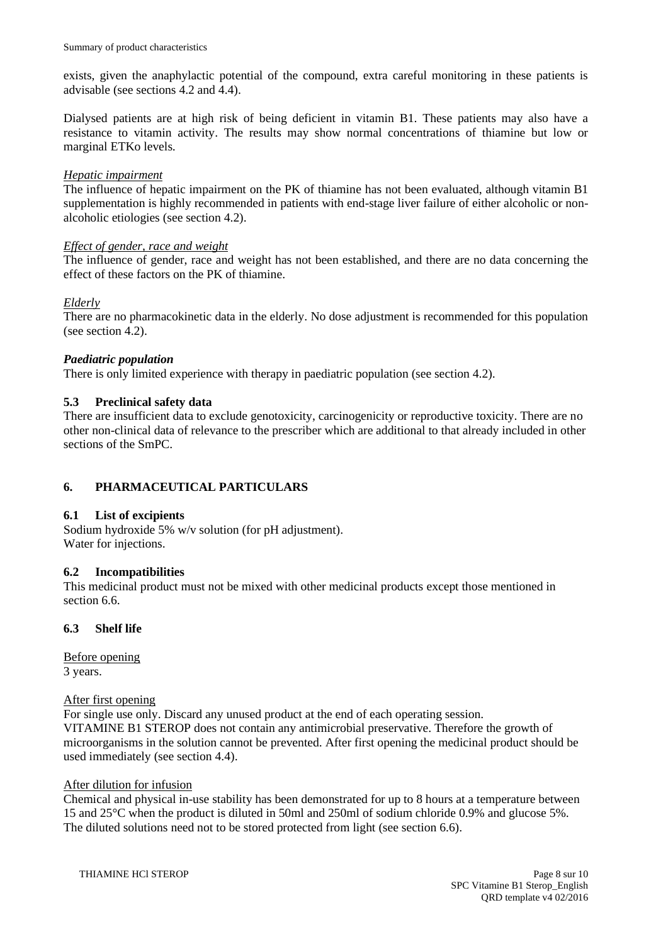exists, given the anaphylactic potential of the compound, extra careful monitoring in these patients is advisable (see sections 4.2 and 4.4).

Dialysed patients are at high risk of being deficient in vitamin B1. These patients may also have a resistance to vitamin activity. The results may show normal concentrations of thiamine but low or marginal ETKo levels.

## *Hepatic impairment*

The influence of hepatic impairment on the PK of thiamine has not been evaluated, although vitamin B1 supplementation is highly recommended in patients with end-stage liver failure of either alcoholic or nonalcoholic etiologies (see section 4.2).

## *Effect of gender, race and weight*

The influence of gender, race and weight has not been established, and there are no data concerning the effect of these factors on the PK of thiamine.

## *Elderly*

There are no pharmacokinetic data in the elderly. No dose adjustment is recommended for this population (see section 4.2).

## *Paediatric population*

There is only limited experience with therapy in paediatric population (see section 4.2).

## **5.3 Preclinical safety data**

There are insufficient data to exclude genotoxicity, carcinogenicity or reproductive toxicity. There are no other non-clinical data of relevance to the prescriber which are additional to that already included in other sections of the SmPC.

# **6. PHARMACEUTICAL PARTICULARS**

## **6.1 List of excipients**

Sodium hydroxide 5% w/v solution (for pH adjustment). Water for injections.

## **6.2 Incompatibilities**

This medicinal product must not be mixed with other medicinal products except those mentioned in section 6.6.

## **6.3 Shelf life**

Before opening 3 years.

## After first opening

For single use only. Discard any unused product at the end of each operating session. VITAMINE B1 STEROP does not contain any antimicrobial preservative. Therefore the growth of microorganisms in the solution cannot be prevented. After first opening the medicinal product should be used immediately (see section 4.4).

## After dilution for infusion

Chemical and physical in-use stability has been demonstrated for up to 8 hours at a temperature between 15 and 25°C when the product is diluted in 50ml and 250ml of sodium chloride 0.9% and glucose 5%. The diluted solutions need not to be stored protected from light (see section 6.6).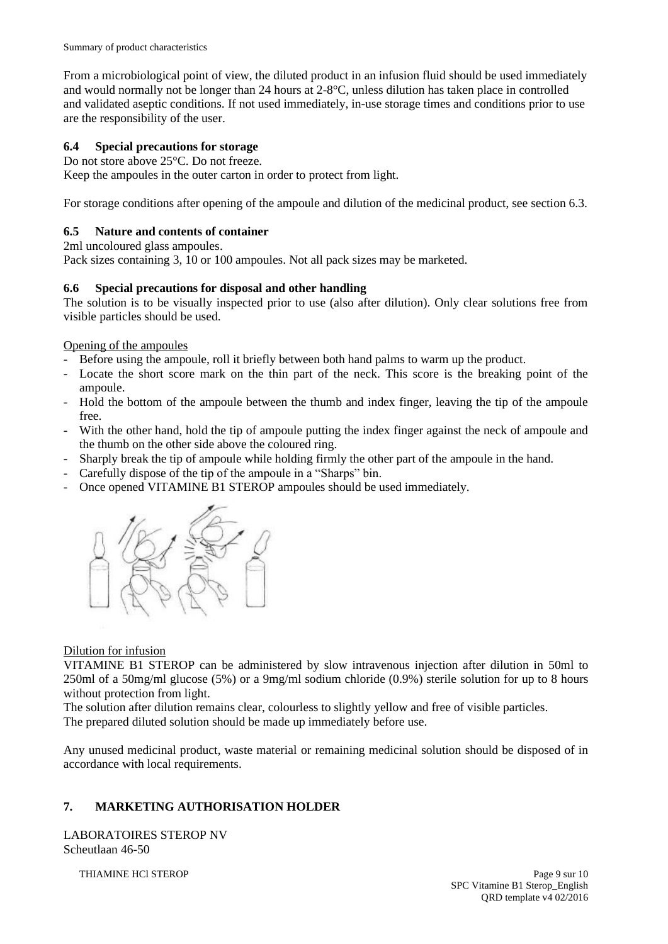From a microbiological point of view, the diluted product in an infusion fluid should be used immediately and would normally not be longer than 24 hours at 2-8°C, unless dilution has taken place in controlled and validated aseptic conditions. If not used immediately, in-use storage times and conditions prior to use are the responsibility of the user.

# **6.4 Special precautions for storage**

Do not store above 25°C. Do not freeze.

Keep the ampoules in the outer carton in order to protect from light.

For storage conditions after opening of the ampoule and dilution of the medicinal product, see section 6.3.

# **6.5 Nature and contents of container**

2ml uncoloured glass ampoules.

Pack sizes containing 3, 10 or 100 ampoules. Not all pack sizes may be marketed.

# **6.6 Special precautions for disposal and other handling**

The solution is to be visually inspected prior to use (also after dilution). Only clear solutions free from visible particles should be used.

Opening of the ampoules

- Before using the ampoule, roll it briefly between both hand palms to warm up the product.
- Locate the short score mark on the thin part of the neck. This score is the breaking point of the ampoule.
- Hold the bottom of the ampoule between the thumb and index finger, leaving the tip of the ampoule free.
- With the other hand, hold the tip of ampoule putting the index finger against the neck of ampoule and the thumb on the other side above the coloured ring.
- Sharply break the tip of ampoule while holding firmly the other part of the ampoule in the hand.
- Carefully dispose of the tip of the ampoule in a "Sharps" bin.
- Once opened VITAMINE B1 STEROP ampoules should be used immediately.



# Dilution for infusion

VITAMINE B1 STEROP can be administered by slow intravenous injection after dilution in 50ml to 250ml of a 50mg/ml glucose (5%) or a 9mg/ml sodium chloride (0.9%) sterile solution for up to 8 hours without protection from light.

The solution after dilution remains clear, colourless to slightly yellow and free of visible particles. The prepared diluted solution should be made up immediately before use.

Any unused medicinal product, waste material or remaining medicinal solution should be disposed of in accordance with local requirements.

# **7. MARKETING AUTHORISATION HOLDER**

LABORATOIRES STEROP NV Scheutlaan 46-50